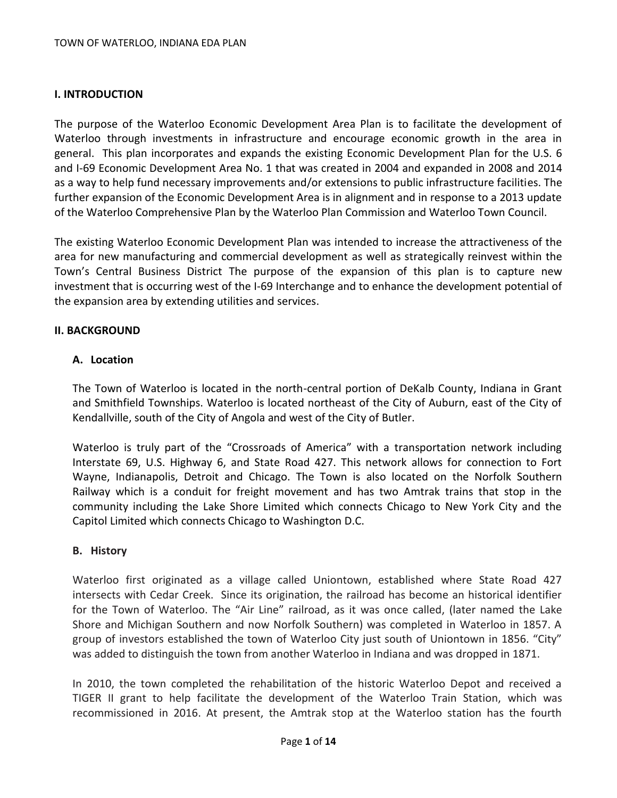### **I. INTRODUCTION**

The purpose of the Waterloo Economic Development Area Plan is to facilitate the development of Waterloo through investments in infrastructure and encourage economic growth in the area in general. This plan incorporates and expands the existing Economic Development Plan for the U.S. 6 and I-69 Economic Development Area No. 1 that was created in 2004 and expanded in 2008 and 2014 as a way to help fund necessary improvements and/or extensions to public infrastructure facilities. The further expansion of the Economic Development Area is in alignment and in response to a 2013 update of the Waterloo Comprehensive Plan by the Waterloo Plan Commission and Waterloo Town Council.

The existing Waterloo Economic Development Plan was intended to increase the attractiveness of the area for new manufacturing and commercial development as well as strategically reinvest within the Town's Central Business District The purpose of the expansion of this plan is to capture new investment that is occurring west of the I-69 Interchange and to enhance the development potential of the expansion area by extending utilities and services.

#### **II. BACKGROUND**

### **A. Location**

The Town of Waterloo is located in the north-central portion of DeKalb County, Indiana in Grant and Smithfield Townships. Waterloo is located northeast of the City of Auburn, east of the City of Kendallville, south of the City of Angola and west of the City of Butler.

Waterloo is truly part of the "Crossroads of America" with a transportation network including Interstate 69, U.S. Highway 6, and State Road 427. This network allows for connection to Fort Wayne, Indianapolis, Detroit and Chicago. The Town is also located on the Norfolk Southern Railway which is a conduit for freight movement and has two Amtrak trains that stop in the community including the Lake Shore Limited which connects Chicago to New York City and the Capitol Limited which connects Chicago to Washington D.C.

### **B. History**

Waterloo first originated as a village called Uniontown, established where State Road 427 intersects with Cedar Creek. Since its origination, the railroad has become an historical identifier for the Town of Waterloo. The "Air Line" railroad, as it was once called, (later named the Lake Shore and Michigan Southern and now Norfolk Southern) was completed in Waterloo in 1857. A group of investors established the town of Waterloo City just south of Uniontown in 1856. "City" was added to distinguish the town from another Waterloo in Indiana and was dropped in 1871.

In 2010, the town completed the rehabilitation of the historic Waterloo Depot and received a TIGER II grant to help facilitate the development of the Waterloo Train Station, which was recommissioned in 2016. At present, the Amtrak stop at the Waterloo station has the fourth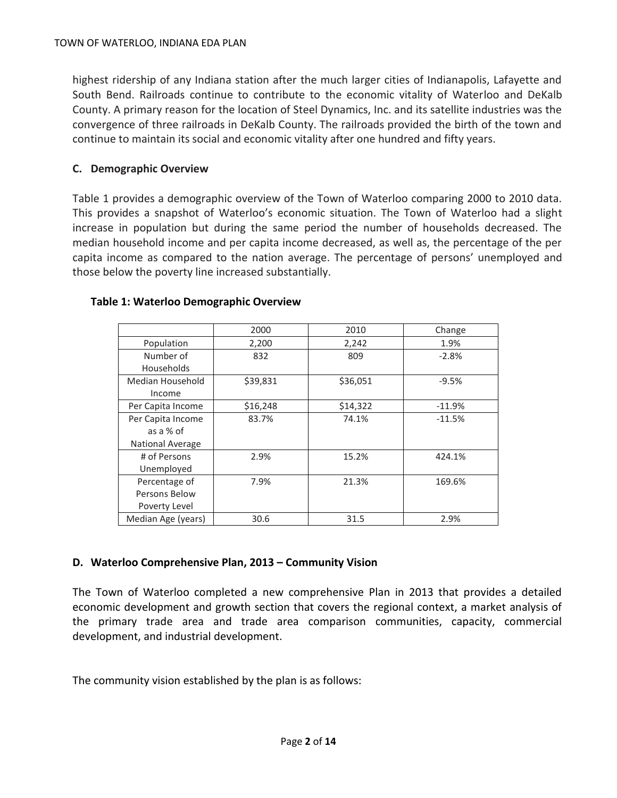highest ridership of any Indiana station after the much larger cities of Indianapolis, Lafayette and South Bend. Railroads continue to contribute to the economic vitality of Waterloo and DeKalb County. A primary reason for the location of Steel Dynamics, Inc. and its satellite industries was the convergence of three railroads in DeKalb County. The railroads provided the birth of the town and continue to maintain its social and economic vitality after one hundred and fifty years.

## **C. Demographic Overview**

Table 1 provides a demographic overview of the Town of Waterloo comparing 2000 to 2010 data. This provides a snapshot of Waterloo's economic situation. The Town of Waterloo had a slight increase in population but during the same period the number of households decreased. The median household income and per capita income decreased, as well as, the percentage of the per capita income as compared to the nation average. The percentage of persons' unemployed and those below the poverty line increased substantially.

|                         | 2000     | 2010     | Change   |
|-------------------------|----------|----------|----------|
| Population              | 2,200    | 2,242    | 1.9%     |
| Number of               | 832      | 809      | $-2.8%$  |
| <b>Households</b>       |          |          |          |
| Median Household        | \$39,831 | \$36,051 | $-9.5%$  |
| Income                  |          |          |          |
| Per Capita Income       | \$16,248 | \$14,322 | $-11.9%$ |
| Per Capita Income       | 83.7%    | 74.1%    | $-11.5%$ |
| as a % of               |          |          |          |
| <b>National Average</b> |          |          |          |
| # of Persons            | 2.9%     | 15.2%    | 424.1%   |
| Unemployed              |          |          |          |
| Percentage of           | 7.9%     | 21.3%    | 169.6%   |
| Persons Below           |          |          |          |
| Poverty Level           |          |          |          |
| Median Age (years)      | 30.6     | 31.5     | 2.9%     |

### **Table 1: Waterloo Demographic Overview**

# **D. Waterloo Comprehensive Plan, 2013 – Community Vision**

The Town of Waterloo completed a new comprehensive Plan in 2013 that provides a detailed economic development and growth section that covers the regional context, a market analysis of the primary trade area and trade area comparison communities, capacity, commercial development, and industrial development.

The community vision established by the plan is as follows: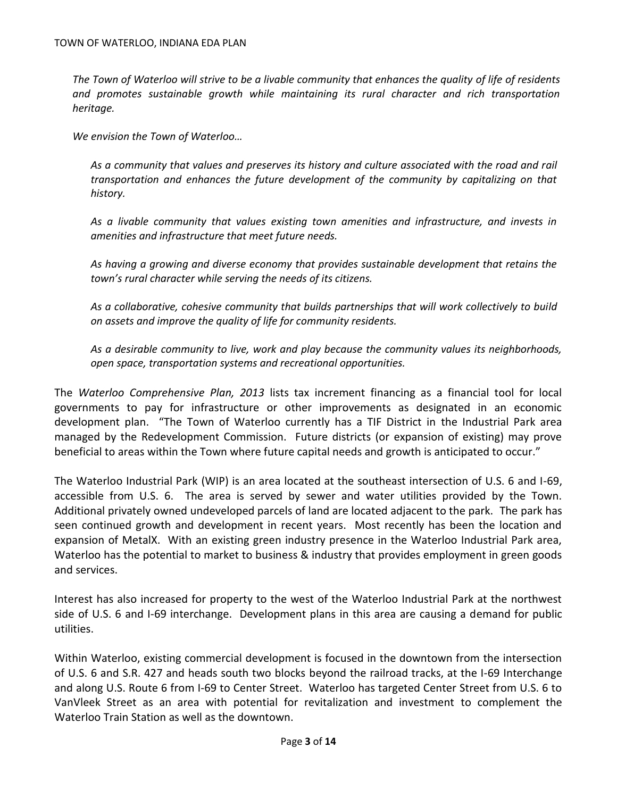*The Town of Waterloo will strive to be a livable community that enhances the quality of life of residents and promotes sustainable growth while maintaining its rural character and rich transportation heritage.*

*We envision the Town of Waterloo…*

*As a community that values and preserves its history and culture associated with the road and rail transportation and enhances the future development of the community by capitalizing on that history.*

*As a livable community that values existing town amenities and infrastructure, and invests in amenities and infrastructure that meet future needs.*

*As having a growing and diverse economy that provides sustainable development that retains the town's rural character while serving the needs of its citizens.*

*As a collaborative, cohesive community that builds partnerships that will work collectively to build on assets and improve the quality of life for community residents.*

*As a desirable community to live, work and play because the community values its neighborhoods, open space, transportation systems and recreational opportunities.* 

The *Waterloo Comprehensive Plan, 2013* lists tax increment financing as a financial tool for local governments to pay for infrastructure or other improvements as designated in an economic development plan. "The Town of Waterloo currently has a TIF District in the Industrial Park area managed by the Redevelopment Commission. Future districts (or expansion of existing) may prove beneficial to areas within the Town where future capital needs and growth is anticipated to occur."

The Waterloo Industrial Park (WIP) is an area located at the southeast intersection of U.S. 6 and I-69, accessible from U.S. 6. The area is served by sewer and water utilities provided by the Town. Additional privately owned undeveloped parcels of land are located adjacent to the park. The park has seen continued growth and development in recent years. Most recently has been the location and expansion of MetalX. With an existing green industry presence in the Waterloo Industrial Park area, Waterloo has the potential to market to business & industry that provides employment in green goods and services.

Interest has also increased for property to the west of the Waterloo Industrial Park at the northwest side of U.S. 6 and I-69 interchange. Development plans in this area are causing a demand for public utilities.

Within Waterloo, existing commercial development is focused in the downtown from the intersection of U.S. 6 and S.R. 427 and heads south two blocks beyond the railroad tracks, at the I-69 Interchange and along U.S. Route 6 from I-69 to Center Street. Waterloo has targeted Center Street from U.S. 6 to VanVleek Street as an area with potential for revitalization and investment to complement the Waterloo Train Station as well as the downtown.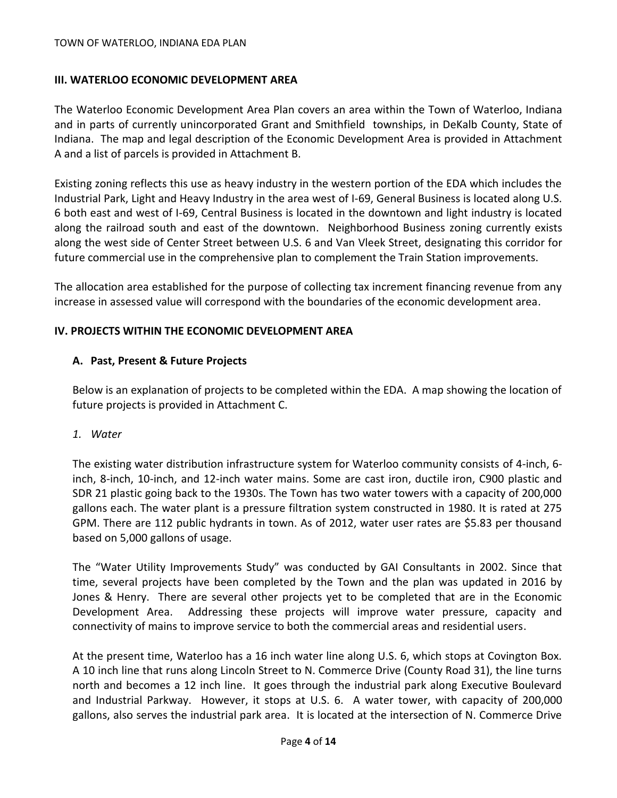## **III. WATERLOO ECONOMIC DEVELOPMENT AREA**

The Waterloo Economic Development Area Plan covers an area within the Town of Waterloo, Indiana and in parts of currently unincorporated Grant and Smithfield townships, in DeKalb County, State of Indiana. The map and legal description of the Economic Development Area is provided in Attachment A and a list of parcels is provided in Attachment B.

Existing zoning reflects this use as heavy industry in the western portion of the EDA which includes the Industrial Park, Light and Heavy Industry in the area west of I-69, General Business is located along U.S. 6 both east and west of I-69, Central Business is located in the downtown and light industry is located along the railroad south and east of the downtown. Neighborhood Business zoning currently exists along the west side of Center Street between U.S. 6 and Van Vleek Street, designating this corridor for future commercial use in the comprehensive plan to complement the Train Station improvements.

The allocation area established for the purpose of collecting tax increment financing revenue from any increase in assessed value will correspond with the boundaries of the economic development area.

## **IV. PROJECTS WITHIN THE ECONOMIC DEVELOPMENT AREA**

## **A. Past, Present & Future Projects**

Below is an explanation of projects to be completed within the EDA. A map showing the location of future projects is provided in Attachment C.

### *1. Water*

The existing water distribution infrastructure system for Waterloo community consists of 4-inch, 6 inch, 8-inch, 10-inch, and 12-inch water mains. Some are cast iron, ductile iron, C900 plastic and SDR 21 plastic going back to the 1930s. The Town has two water towers with a capacity of 200,000 gallons each. The water plant is a pressure filtration system constructed in 1980. It is rated at 275 GPM. There are 112 public hydrants in town. As of 2012, water user rates are \$5.83 per thousand based on 5,000 gallons of usage.

The "Water Utility Improvements Study" was conducted by GAI Consultants in 2002. Since that time, several projects have been completed by the Town and the plan was updated in 2016 by Jones & Henry. There are several other projects yet to be completed that are in the Economic Development Area. Addressing these projects will improve water pressure, capacity and connectivity of mains to improve service to both the commercial areas and residential users.

At the present time, Waterloo has a 16 inch water line along U.S. 6, which stops at Covington Box. A 10 inch line that runs along Lincoln Street to N. Commerce Drive (County Road 31), the line turns north and becomes a 12 inch line. It goes through the industrial park along Executive Boulevard and Industrial Parkway. However, it stops at U.S. 6. A water tower, with capacity of 200,000 gallons, also serves the industrial park area. It is located at the intersection of N. Commerce Drive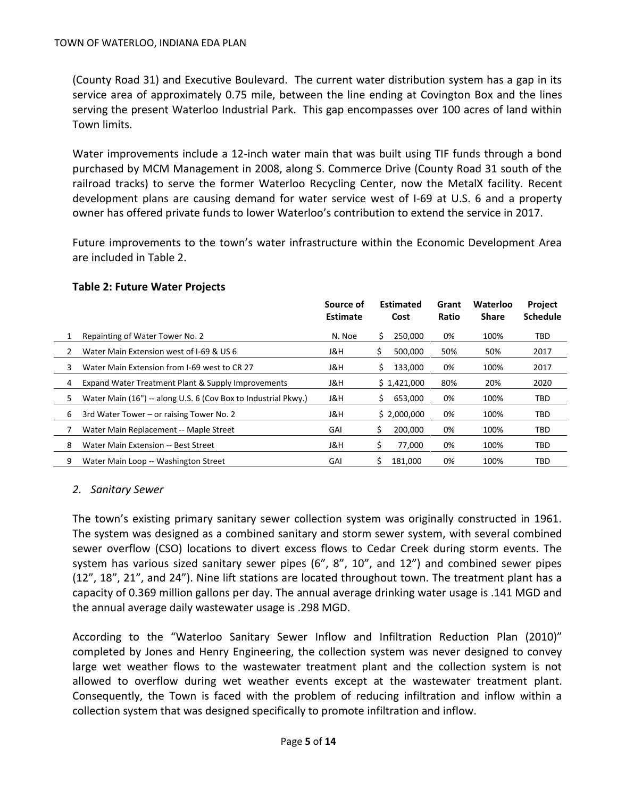(County Road 31) and Executive Boulevard. The current water distribution system has a gap in its service area of approximately 0.75 mile, between the line ending at Covington Box and the lines serving the present Waterloo Industrial Park. This gap encompasses over 100 acres of land within Town limits.

Water improvements include a 12-inch water main that was built using TIF funds through a bond purchased by MCM Management in 2008, along S. Commerce Drive (County Road 31 south of the railroad tracks) to serve the former Waterloo Recycling Center, now the MetalX facility. Recent development plans are causing demand for water service west of I-69 at U.S. 6 and a property owner has offered private funds to lower Waterloo's contribution to extend the service in 2017.

Future improvements to the town's water infrastructure within the Economic Development Area are included in Table 2.

|   |                                                                | Source of<br><b>Estimate</b> | <b>Estimated</b><br>Cost |             | Grant<br>Ratio | Waterloo<br><b>Share</b> | <b>Project</b><br><b>Schedule</b> |
|---|----------------------------------------------------------------|------------------------------|--------------------------|-------------|----------------|--------------------------|-----------------------------------|
|   | Repainting of Water Tower No. 2                                | N. Noe                       | S                        | 250,000     | 0%             | 100%                     | TBD                               |
|   | Water Main Extension west of I-69 & US 6                       | J&H                          | S                        | 500,000     | 50%            | 50%                      | 2017                              |
| 3 | Water Main Extension from I-69 west to CR 27                   | J&H                          | S                        | 133,000     | 0%             | 100%                     | 2017                              |
| 4 | Expand Water Treatment Plant & Supply Improvements             | J&H                          |                          | \$1,421,000 | 80%            | 20%                      | 2020                              |
| 5 | Water Main (16") -- along U.S. 6 (Cov Box to Industrial Pkwy.) | J&H                          | S.                       | 653.000     | 0%             | 100%                     | TBD                               |
| 6 | 3rd Water Tower – or raising Tower No. 2                       | J&H                          |                          | \$2,000,000 | 0%             | 100%                     | TBD                               |
|   | Water Main Replacement -- Maple Street                         | GAI                          | \$                       | 200.000     | 0%             | 100%                     | TBD                               |
| 8 | Water Main Extension -- Best Street                            | J&H                          | Ś                        | 77,000      | 0%             | 100%                     | TBD                               |
| 9 | Water Main Loop -- Washington Street                           | GAI                          | S                        | 181.000     | 0%             | 100%                     | TBD                               |

#### **Table 2: Future Water Projects**

### *2. Sanitary Sewer*

The town's existing primary sanitary sewer collection system was originally constructed in 1961. The system was designed as a combined sanitary and storm sewer system, with several combined sewer overflow (CSO) locations to divert excess flows to Cedar Creek during storm events. The system has various sized sanitary sewer pipes (6", 8", 10", and 12") and combined sewer pipes (12", 18", 21", and 24"). Nine lift stations are located throughout town. The treatment plant has a capacity of 0.369 million gallons per day. The annual average drinking water usage is .141 MGD and the annual average daily wastewater usage is .298 MGD.

According to the "Waterloo Sanitary Sewer Inflow and Infiltration Reduction Plan (2010)" completed by Jones and Henry Engineering, the collection system was never designed to convey large wet weather flows to the wastewater treatment plant and the collection system is not allowed to overflow during wet weather events except at the wastewater treatment plant. Consequently, the Town is faced with the problem of reducing infiltration and inflow within a collection system that was designed specifically to promote infiltration and inflow.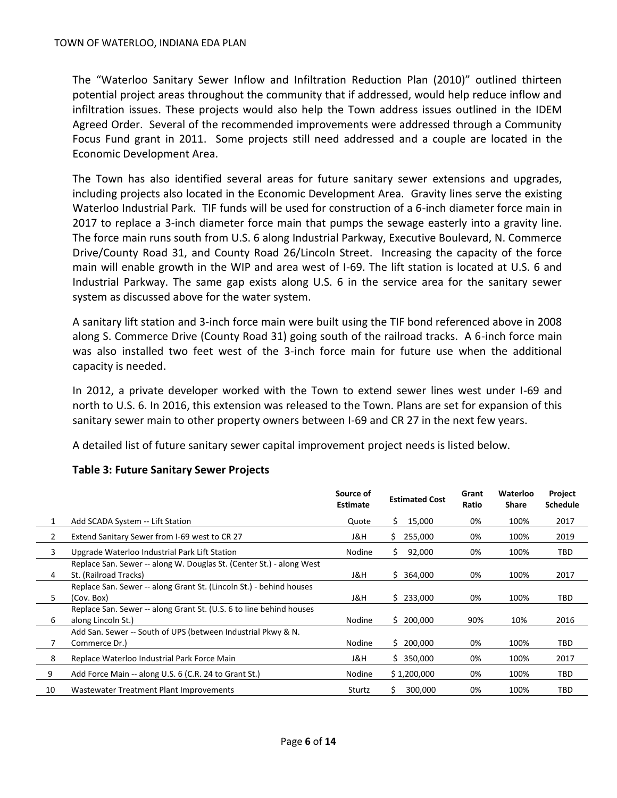The "Waterloo Sanitary Sewer Inflow and Infiltration Reduction Plan (2010)" outlined thirteen potential project areas throughout the community that if addressed, would help reduce inflow and infiltration issues. These projects would also help the Town address issues outlined in the IDEM Agreed Order. Several of the recommended improvements were addressed through a Community Focus Fund grant in 2011. Some projects still need addressed and a couple are located in the Economic Development Area.

The Town has also identified several areas for future sanitary sewer extensions and upgrades, including projects also located in the Economic Development Area. Gravity lines serve the existing Waterloo Industrial Park. TIF funds will be used for construction of a 6-inch diameter force main in 2017 to replace a 3-inch diameter force main that pumps the sewage easterly into a gravity line. The force main runs south from U.S. 6 along Industrial Parkway, Executive Boulevard, N. Commerce Drive/County Road 31, and County Road 26/Lincoln Street. Increasing the capacity of the force main will enable growth in the WIP and area west of I-69. The lift station is located at U.S. 6 and Industrial Parkway. The same gap exists along U.S. 6 in the service area for the sanitary sewer system as discussed above for the water system.

A sanitary lift station and 3-inch force main were built using the TIF bond referenced above in 2008 along S. Commerce Drive (County Road 31) going south of the railroad tracks. A 6-inch force main was also installed two feet west of the 3-inch force main for future use when the additional capacity is needed.

In 2012, a private developer worked with the Town to extend sewer lines west under I-69 and north to U.S. 6. In 2016, this extension was released to the Town. Plans are set for expansion of this sanitary sewer main to other property owners between I-69 and CR 27 in the next few years.

A detailed list of future sanitary sewer capital improvement project needs is listed below.

|    |                                                                      | Source of<br><b>Estimate</b> | <b>Estimated Cost</b> | Grant<br>Ratio | Waterloo<br><b>Share</b> | Project<br><b>Schedule</b> |
|----|----------------------------------------------------------------------|------------------------------|-----------------------|----------------|--------------------------|----------------------------|
| 1  | Add SCADA System -- Lift Station                                     | Quote                        | 15,000<br>S           | 0%             | 100%                     | 2017                       |
| 2  | Extend Sanitary Sewer from I-69 west to CR 27                        | J&H                          | S.<br>255,000         | 0%             | 100%                     | 2019                       |
| 3  | Upgrade Waterloo Industrial Park Lift Station                        | Nodine                       | 92,000<br>S.          | 0%             | 100%                     | TBD                        |
|    | Replace San. Sewer -- along W. Douglas St. (Center St.) - along West |                              |                       |                |                          |                            |
| 4  | St. (Railroad Tracks)                                                | J&H                          | \$364,000             | 0%             | 100%                     | 2017                       |
|    | Replace San. Sewer -- along Grant St. (Lincoln St.) - behind houses  |                              |                       |                |                          |                            |
| 5  | (Cov. Box)                                                           | J&H                          | \$233,000             | 0%             | 100%                     | TBD                        |
|    | Replace San. Sewer -- along Grant St. (U.S. 6 to line behind houses  |                              |                       |                |                          |                            |
| 6  | along Lincoln St.)                                                   | Nodine                       | \$200,000             | 90%            | 10%                      | 2016                       |
|    | Add San. Sewer -- South of UPS (between Industrial Pkwy & N.         |                              |                       |                |                          |                            |
|    | Commerce Dr.)                                                        | Nodine                       | \$200,000             | 0%             | 100%                     | TBD                        |
| 8  | Replace Waterloo Industrial Park Force Main                          | J&H                          | \$350,000             | 0%             | 100%                     | 2017                       |
| 9  | Add Force Main -- along U.S. 6 (C.R. 24 to Grant St.)                | Nodine                       | \$1,200,000           | 0%             | 100%                     | TBD                        |
| 10 | Wastewater Treatment Plant Improvements                              | Sturtz                       | \$<br>300,000         | 0%             | 100%                     | TBD                        |

### **Table 3: Future Sanitary Sewer Projects**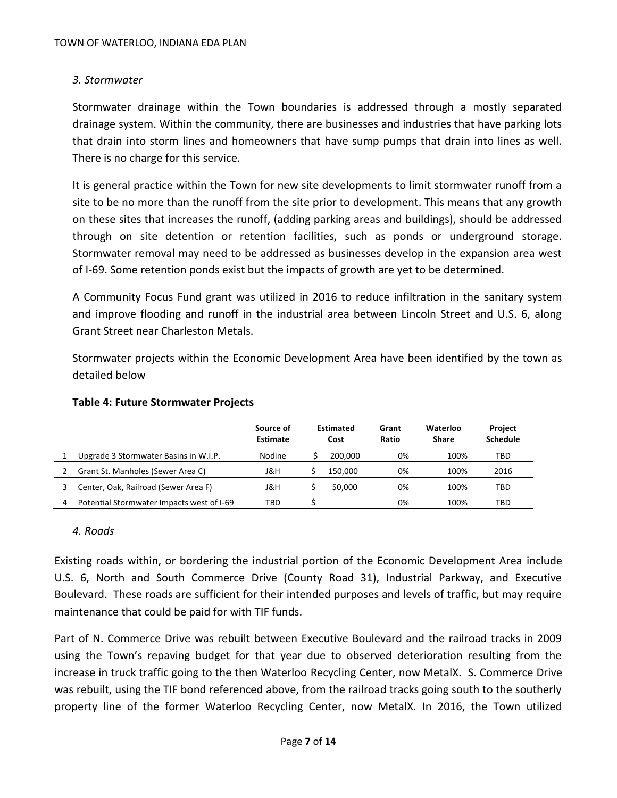# *3. Stormwater*

Stormwater drainage within the Town boundaries is addressed through a mostly separated drainage system. Within the community, there are businesses and industries that have parking lots that drain into storm lines and homeowners that have sump pumps that drain into lines as well. There is no charge for this service.

It is general practice within the Town for new site developments to limit stormwater runoff from a site to be no more than the runoff from the site prior to development. This means that any growth on these sites that increases the runoff, (adding parking areas and buildings), should be addressed through on site detention or retention facilities, such as ponds or underground storage. Stormwater removal may need to be addressed as businesses develop in the expansion area west of I-69. Some retention ponds exist but the impacts of growth are yet to be determined.

A Community Focus Fund grant was utilized in 2016 to reduce infiltration in the sanitary system and improve flooding and runoff in the industrial area between Lincoln Street and U.S. 6, along Grant Street near Charleston Metals.

Stormwater projects within the Economic Development Area have been identified by the town as detailed below

|   |                                           | Source of<br><b>Estimate</b> | <b>Estimated</b><br>Cost |         | Grant<br>Ratio | Waterloo<br><b>Share</b> | <b>Project</b><br><b>Schedule</b> |
|---|-------------------------------------------|------------------------------|--------------------------|---------|----------------|--------------------------|-----------------------------------|
|   | Upgrade 3 Stormwater Basins in W.I.P.     | Nodine                       |                          | 200.000 | 0%             | 100%                     | TBD                               |
|   | Grant St. Manholes (Sewer Area C)         | J&H                          |                          | 150.000 | 0%             | 100%                     | 2016                              |
|   | Center, Oak, Railroad (Sewer Area F)      | J&H                          |                          | 50.000  | 0%             | 100%                     | TBD                               |
| 4 | Potential Stormwater Impacts west of I-69 | TBD                          |                          |         | 0%             | 100%                     | TBD                               |

### **Table 4: Future Stormwater Projects**

### *4. Roads*

Existing roads within, or bordering the industrial portion of the Economic Development Area include U.S. 6, North and South Commerce Drive (County Road 31), Industrial Parkway, and Executive Boulevard. These roads are sufficient for their intended purposes and levels of traffic, but may require maintenance that could be paid for with TIF funds.

Part of N. Commerce Drive was rebuilt between Executive Boulevard and the railroad tracks in 2009 using the Town's repaving budget for that year due to observed deterioration resulting from the increase in truck traffic going to the then Waterloo Recycling Center, now MetalX. S. Commerce Drive was rebuilt, using the TIF bond referenced above, from the railroad tracks going south to the southerly property line of the former Waterloo Recycling Center, now MetalX. In 2016, the Town utilized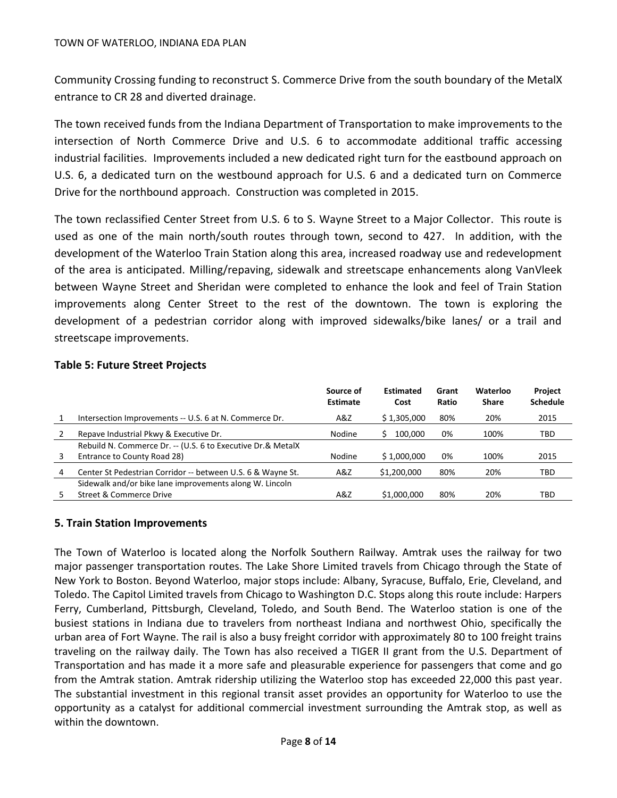Community Crossing funding to reconstruct S. Commerce Drive from the south boundary of the MetalX entrance to CR 28 and diverted drainage.

The town received funds from the Indiana Department of Transportation to make improvements to the intersection of North Commerce Drive and U.S. 6 to accommodate additional traffic accessing industrial facilities. Improvements included a new dedicated right turn for the eastbound approach on U.S. 6, a dedicated turn on the westbound approach for U.S. 6 and a dedicated turn on Commerce Drive for the northbound approach. Construction was completed in 2015.

The town reclassified Center Street from U.S. 6 to S. Wayne Street to a Major Collector. This route is used as one of the main north/south routes through town, second to 427. In addition, with the development of the Waterloo Train Station along this area, increased roadway use and redevelopment of the area is anticipated. Milling/repaving, sidewalk and streetscape enhancements along VanVleek between Wayne Street and Sheridan were completed to enhance the look and feel of Train Station improvements along Center Street to the rest of the downtown. The town is exploring the development of a pedestrian corridor along with improved sidewalks/bike lanes/ or a trail and streetscape improvements.

### **Table 5: Future Street Projects**

|   |                                                             | Source of<br>Estimate | <b>Estimated</b><br>Cost | Grant<br>Ratio | Waterloo<br><b>Share</b> | Project<br><b>Schedule</b> |
|---|-------------------------------------------------------------|-----------------------|--------------------------|----------------|--------------------------|----------------------------|
|   | Intersection Improvements -- U.S. 6 at N. Commerce Dr.      | A&Z                   | \$1,305,000              | 80%            | 20%                      | 2015                       |
|   | Repave Industrial Pkwy & Executive Dr.                      | <b>Nodine</b>         | 100.000                  | 0%             | 100%                     | TBD                        |
|   | Rebuild N. Commerce Dr. -- (U.S. 6 to Executive Dr.& MetalX |                       |                          |                |                          |                            |
| 3 | Entrance to County Road 28)                                 | <b>Nodine</b>         | \$1,000,000              | 0%             | 100%                     | 2015                       |
| 4 | Center St Pedestrian Corridor -- between U.S. 6 & Wayne St. | A&Z                   | \$1,200,000              | 80%            | 20%                      | TBD                        |
|   | Sidewalk and/or bike lane improvements along W. Lincoln     |                       |                          |                |                          |                            |
|   | Street & Commerce Drive                                     | A&Z                   | \$1,000,000              | 80%            | 20%                      | TBD                        |

### **5. Train Station Improvements**

The Town of Waterloo is located along the Norfolk Southern Railway. Amtrak uses the railway for two major passenger transportation routes. The Lake Shore Limited travels from Chicago through the State of New York to Boston. Beyond Waterloo, major stops include: Albany, Syracuse, Buffalo, Erie, Cleveland, and Toledo. The Capitol Limited travels from Chicago to Washington D.C. Stops along this route include: Harpers Ferry, Cumberland, Pittsburgh, Cleveland, Toledo, and South Bend. The Waterloo station is one of the busiest stations in Indiana due to travelers from northeast Indiana and northwest Ohio, specifically the urban area of Fort Wayne. The rail is also a busy freight corridor with approximately 80 to 100 freight trains traveling on the railway daily. The Town has also received a TIGER II grant from the U.S. Department of Transportation and has made it a more safe and pleasurable experience for passengers that come and go from the Amtrak station. Amtrak ridership utilizing the Waterloo stop has exceeded 22,000 this past year. The substantial investment in this regional transit asset provides an opportunity for Waterloo to use the opportunity as a catalyst for additional commercial investment surrounding the Amtrak stop, as well as within the downtown.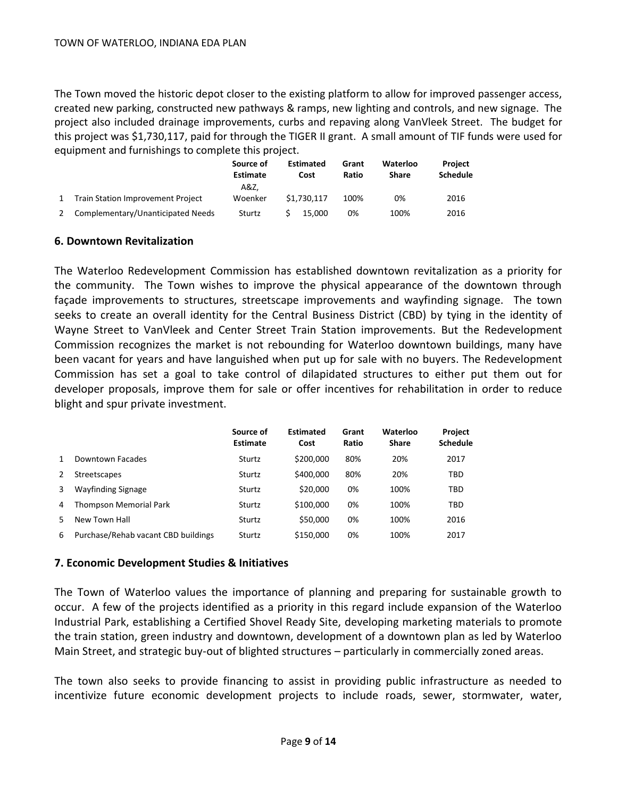The Town moved the historic depot closer to the existing platform to allow for improved passenger access, created new parking, constructed new pathways & ramps, new lighting and controls, and new signage. The project also included drainage improvements, curbs and repaving along VanVleek Street. The budget for this project was \$1,730,117, paid for through the TIGER II grant. A small amount of TIF funds were used for equipment and furnishings to complete this project.

|                                   | Source of<br>Estimate | <b>Estimated</b><br>Cost | Grant<br>Ratio | Waterloo<br><b>Share</b> | Project<br><b>Schedule</b> |
|-----------------------------------|-----------------------|--------------------------|----------------|--------------------------|----------------------------|
|                                   | A&Z.                  |                          |                |                          |                            |
| Train Station Improvement Project | Woenker               | \$1.730.117              | 100%           | 0%                       | 2016                       |
| Complementary/Unanticipated Needs | Sturtz                | 15.000                   | 0%             | 100%                     | 2016                       |

## **6. Downtown Revitalization**

The Waterloo Redevelopment Commission has established downtown revitalization as a priority for the community. The Town wishes to improve the physical appearance of the downtown through façade improvements to structures, streetscape improvements and wayfinding signage. The town seeks to create an overall identity for the Central Business District (CBD) by tying in the identity of Wayne Street to VanVleek and Center Street Train Station improvements. But the Redevelopment Commission recognizes the market is not rebounding for Waterloo downtown buildings, many have been vacant for years and have languished when put up for sale with no buyers. The Redevelopment Commission has set a goal to take control of dilapidated structures to either put them out for developer proposals, improve them for sale or offer incentives for rehabilitation in order to reduce blight and spur private investment.

|   |                                     | Source of<br>Estimate | <b>Estimated</b><br>Cost | Grant<br>Ratio | Waterloo<br><b>Share</b> | <b>Project</b><br><b>Schedule</b> |
|---|-------------------------------------|-----------------------|--------------------------|----------------|--------------------------|-----------------------------------|
| 1 | Downtown Facades                    | Sturtz                | \$200,000                | 80%            | 20%                      | 2017                              |
| 2 | <b>Streetscapes</b>                 | Sturtz                | \$400,000                | 80%            | 20%                      | TBD                               |
| 3 | <b>Wayfinding Signage</b>           | Sturtz                | \$20,000                 | 0%             | 100%                     | TBD                               |
| 4 | Thompson Memorial Park              | Sturtz                | \$100,000                | 0%             | 100%                     | TBD                               |
| 5 | New Town Hall                       | Sturtz                | \$50,000                 | 0%             | 100%                     | 2016                              |
| 6 | Purchase/Rehab vacant CBD buildings | Sturtz                | \$150,000                | 0%             | 100%                     | 2017                              |

# **7. Economic Development Studies & Initiatives**

The Town of Waterloo values the importance of planning and preparing for sustainable growth to occur. A few of the projects identified as a priority in this regard include expansion of the Waterloo Industrial Park, establishing a Certified Shovel Ready Site, developing marketing materials to promote the train station, green industry and downtown, development of a downtown plan as led by Waterloo Main Street, and strategic buy-out of blighted structures – particularly in commercially zoned areas.

The town also seeks to provide financing to assist in providing public infrastructure as needed to incentivize future economic development projects to include roads, sewer, stormwater, water,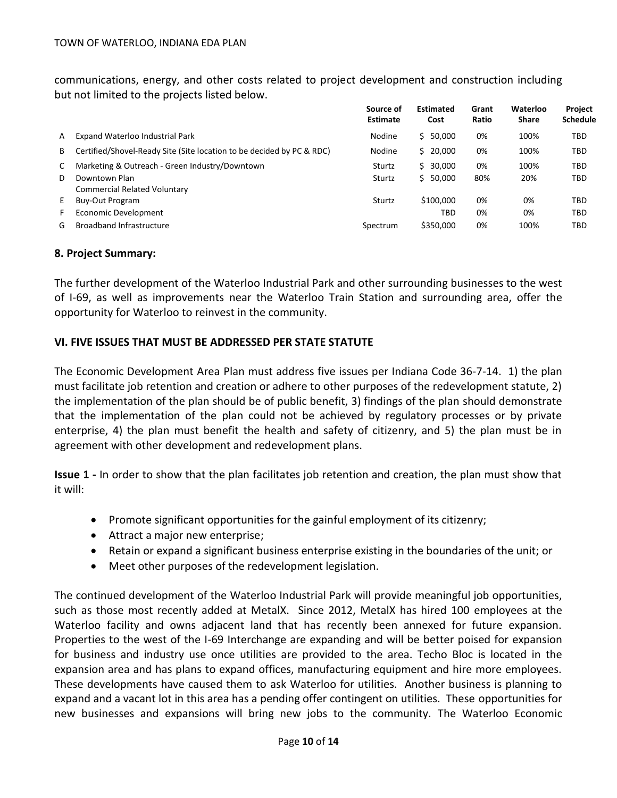communications, energy, and other costs related to project development and construction including but not limited to the projects listed below.

|    |                                                                       | Source of<br><b>Estimate</b> | <b>Estimated</b><br>Cost | Grant<br>Ratio | Waterloo<br><b>Share</b> | Project<br><b>Schedule</b> |
|----|-----------------------------------------------------------------------|------------------------------|--------------------------|----------------|--------------------------|----------------------------|
| A  | Expand Waterloo Industrial Park                                       | Nodine                       | \$50,000                 | 0%             | 100%                     | TBD                        |
| B  | Certified/Shovel-Ready Site (Site location to be decided by PC & RDC) | Nodine                       | \$20,000                 | 0%             | 100%                     | TBD                        |
| C  | Marketing & Outreach - Green Industry/Downtown                        | Sturtz                       | \$30.000                 | 0%             | 100%                     | <b>TBD</b>                 |
| D  | Downtown Plan<br><b>Commercial Related Voluntary</b>                  | Sturtz                       | \$50,000                 | 80%            | 20%                      | TBD                        |
| E. | <b>Buy-Out Program</b>                                                | Sturtz                       | \$100,000                | 0%             | 0%                       | TBD                        |
| F. | Economic Development                                                  |                              | TBD                      | 0%             | 0%                       | TBD                        |
| G  | <b>Broadband Infrastructure</b>                                       | Spectrum                     | \$350,000                | 0%             | 100%                     | TBD                        |

#### **8. Project Summary:**

The further development of the Waterloo Industrial Park and other surrounding businesses to the west of I-69, as well as improvements near the Waterloo Train Station and surrounding area, offer the opportunity for Waterloo to reinvest in the community.

#### **VI. FIVE ISSUES THAT MUST BE ADDRESSED PER STATE STATUTE**

The Economic Development Area Plan must address five issues per Indiana Code 36-7-14. 1) the plan must facilitate job retention and creation or adhere to other purposes of the redevelopment statute, 2) the implementation of the plan should be of public benefit, 3) findings of the plan should demonstrate that the implementation of the plan could not be achieved by regulatory processes or by private enterprise, 4) the plan must benefit the health and safety of citizenry, and 5) the plan must be in agreement with other development and redevelopment plans.

**Issue 1 -** In order to show that the plan facilitates job retention and creation, the plan must show that it will:

- Promote significant opportunities for the gainful employment of its citizenry;
- Attract a major new enterprise;
- Retain or expand a significant business enterprise existing in the boundaries of the unit; or
- Meet other purposes of the redevelopment legislation.

The continued development of the Waterloo Industrial Park will provide meaningful job opportunities, such as those most recently added at MetalX. Since 2012, MetalX has hired 100 employees at the Waterloo facility and owns adjacent land that has recently been annexed for future expansion. Properties to the west of the I-69 Interchange are expanding and will be better poised for expansion for business and industry use once utilities are provided to the area. Techo Bloc is located in the expansion area and has plans to expand offices, manufacturing equipment and hire more employees. These developments have caused them to ask Waterloo for utilities. Another business is planning to expand and a vacant lot in this area has a pending offer contingent on utilities. These opportunities for new businesses and expansions will bring new jobs to the community. The Waterloo Economic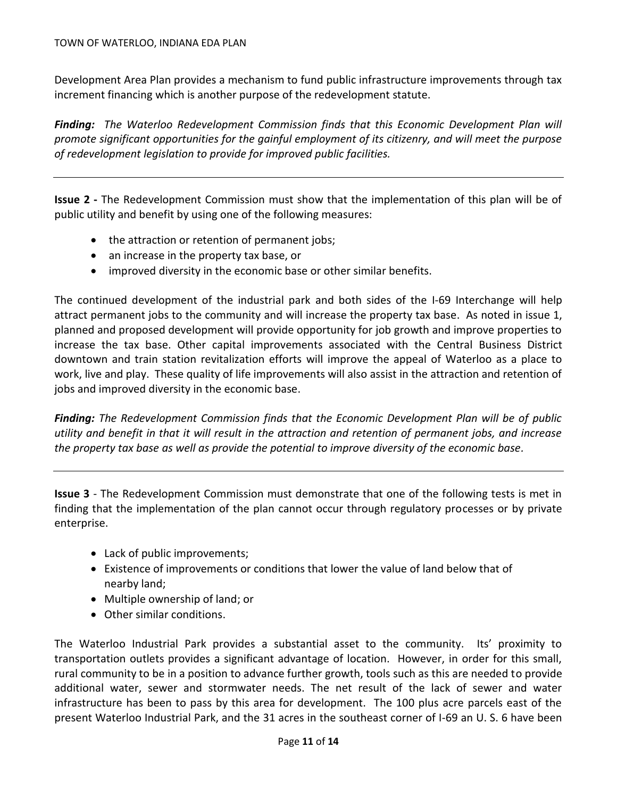Development Area Plan provides a mechanism to fund public infrastructure improvements through tax increment financing which is another purpose of the redevelopment statute.

*Finding: The Waterloo Redevelopment Commission finds that this Economic Development Plan will promote significant opportunities for the gainful employment of its citizenry, and will meet the purpose of redevelopment legislation to provide for improved public facilities.*

**Issue 2 -** The Redevelopment Commission must show that the implementation of this plan will be of public utility and benefit by using one of the following measures:

- the attraction or retention of permanent jobs;
- an increase in the property tax base, or
- improved diversity in the economic base or other similar benefits.

The continued development of the industrial park and both sides of the I-69 Interchange will help attract permanent jobs to the community and will increase the property tax base. As noted in issue 1, planned and proposed development will provide opportunity for job growth and improve properties to increase the tax base. Other capital improvements associated with the Central Business District downtown and train station revitalization efforts will improve the appeal of Waterloo as a place to work, live and play. These quality of life improvements will also assist in the attraction and retention of jobs and improved diversity in the economic base.

*Finding: The Redevelopment Commission finds that the Economic Development Plan will be of public utility and benefit in that it will result in the attraction and retention of permanent jobs, and increase the property tax base as well as provide the potential to improve diversity of the economic base.*

**Issue 3** - The Redevelopment Commission must demonstrate that one of the following tests is met in finding that the implementation of the plan cannot occur through regulatory processes or by private enterprise.

- Lack of public improvements;
- Existence of improvements or conditions that lower the value of land below that of nearby land;
- Multiple ownership of land; or
- Other similar conditions.

The Waterloo Industrial Park provides a substantial asset to the community. Its' proximity to transportation outlets provides a significant advantage of location. However, in order for this small, rural community to be in a position to advance further growth, tools such as this are needed to provide additional water, sewer and stormwater needs. The net result of the lack of sewer and water infrastructure has been to pass by this area for development. The 100 plus acre parcels east of the present Waterloo Industrial Park, and the 31 acres in the southeast corner of I-69 an U. S. 6 have been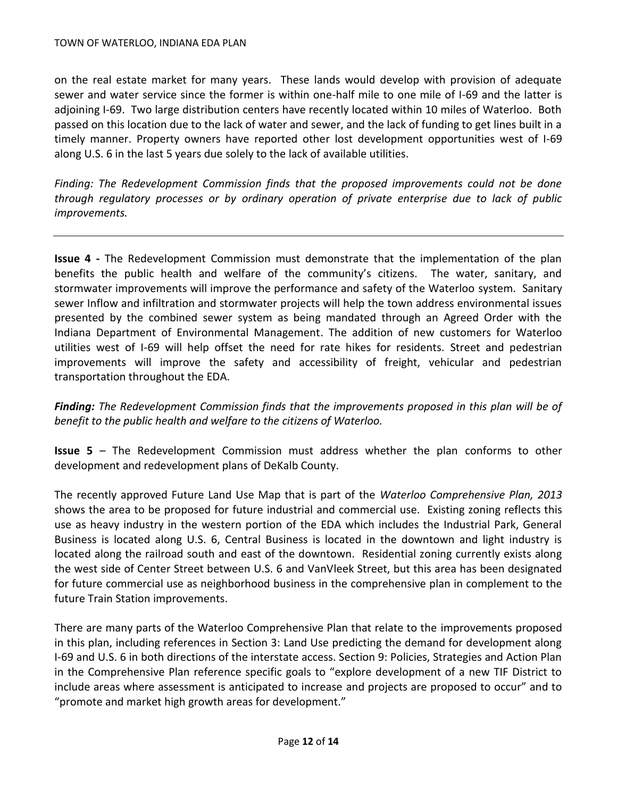on the real estate market for many years. These lands would develop with provision of adequate sewer and water service since the former is within one-half mile to one mile of I-69 and the latter is adjoining I-69. Two large distribution centers have recently located within 10 miles of Waterloo. Both passed on this location due to the lack of water and sewer, and the lack of funding to get lines built in a timely manner. Property owners have reported other lost development opportunities west of I-69 along U.S. 6 in the last 5 years due solely to the lack of available utilities.

*Finding: The Redevelopment Commission finds that the proposed improvements could not be done through regulatory processes or by ordinary operation of private enterprise due to lack of public improvements.*

**Issue 4 -** The Redevelopment Commission must demonstrate that the implementation of the plan benefits the public health and welfare of the community's citizens. The water, sanitary, and stormwater improvements will improve the performance and safety of the Waterloo system. Sanitary sewer Inflow and infiltration and stormwater projects will help the town address environmental issues presented by the combined sewer system as being mandated through an Agreed Order with the Indiana Department of Environmental Management. The addition of new customers for Waterloo utilities west of I-69 will help offset the need for rate hikes for residents. Street and pedestrian improvements will improve the safety and accessibility of freight, vehicular and pedestrian transportation throughout the EDA.

*Finding: The Redevelopment Commission finds that the improvements proposed in this plan will be of benefit to the public health and welfare to the citizens of Waterloo.*

**Issue 5** – The Redevelopment Commission must address whether the plan conforms to other development and redevelopment plans of DeKalb County.

The recently approved Future Land Use Map that is part of the *Waterloo Comprehensive Plan, 2013* shows the area to be proposed for future industrial and commercial use. Existing zoning reflects this use as heavy industry in the western portion of the EDA which includes the Industrial Park, General Business is located along U.S. 6, Central Business is located in the downtown and light industry is located along the railroad south and east of the downtown. Residential zoning currently exists along the west side of Center Street between U.S. 6 and VanVleek Street, but this area has been designated for future commercial use as neighborhood business in the comprehensive plan in complement to the future Train Station improvements.

There are many parts of the Waterloo Comprehensive Plan that relate to the improvements proposed in this plan, including references in Section 3: Land Use predicting the demand for development along I-69 and U.S. 6 in both directions of the interstate access. Section 9: Policies, Strategies and Action Plan in the Comprehensive Plan reference specific goals to "explore development of a new TIF District to include areas where assessment is anticipated to increase and projects are proposed to occur" and to "promote and market high growth areas for development."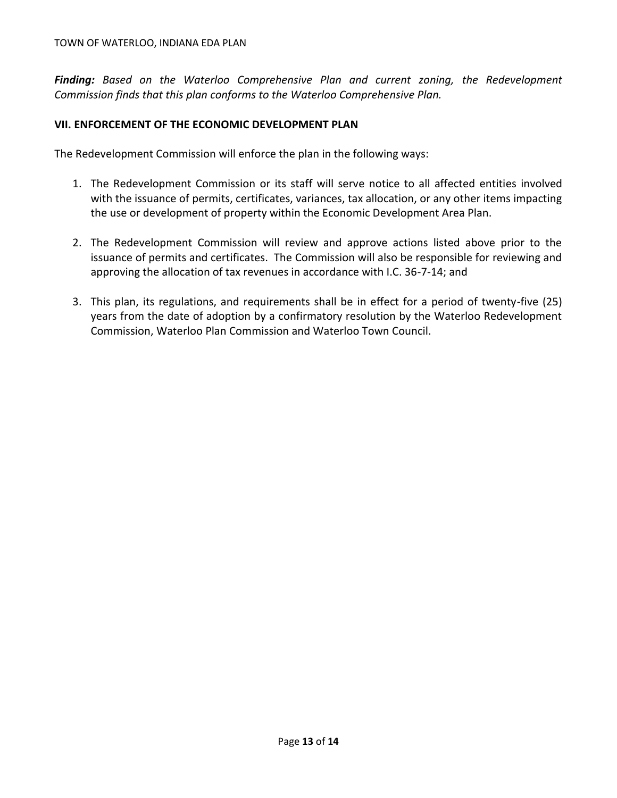*Finding: Based on the Waterloo Comprehensive Plan and current zoning, the Redevelopment Commission finds that this plan conforms to the Waterloo Comprehensive Plan.*

### **VII. ENFORCEMENT OF THE ECONOMIC DEVELOPMENT PLAN**

The Redevelopment Commission will enforce the plan in the following ways:

- 1. The Redevelopment Commission or its staff will serve notice to all affected entities involved with the issuance of permits, certificates, variances, tax allocation, or any other items impacting the use or development of property within the Economic Development Area Plan.
- 2. The Redevelopment Commission will review and approve actions listed above prior to the issuance of permits and certificates. The Commission will also be responsible for reviewing and approving the allocation of tax revenues in accordance with I.C. 36-7-14; and
- 3. This plan, its regulations, and requirements shall be in effect for a period of twenty-five (25) years from the date of adoption by a confirmatory resolution by the Waterloo Redevelopment Commission, Waterloo Plan Commission and Waterloo Town Council.